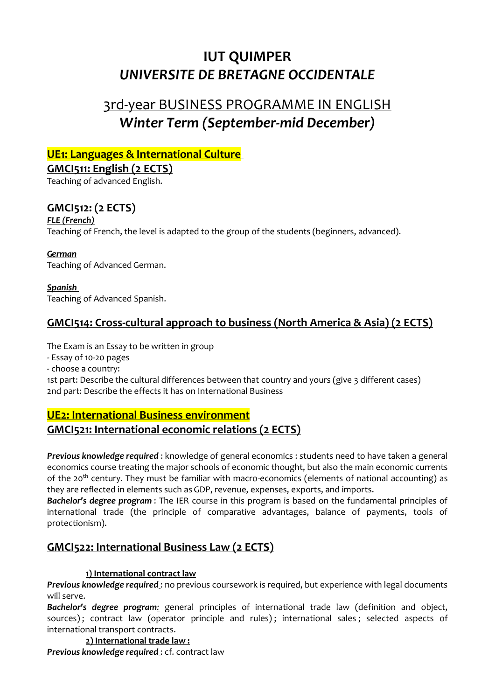# **IUT QUIMPER** *UNIVERSITE DE BRETAGNE OCCIDENTALE*

# 3rd-year BUSINESS PROGRAMME IN ENGLISH *Winter Term (September-mid December)*

# **UE1: Languages & International Culture**

## **GMCI511: English (2 ECTS)**

Teaching of advanced English.

# **GMCI512: (2 ECTS)**

### *FLE (French)*

Teaching of French, the level is adapted to the group of the students (beginners, advanced).

### *German*

Teaching of Advanced German.

### *Spanish*

Teaching of Advanced Spanish.

## **GMCI514: Cross-cultural approach to business (North America & Asia) (2 ECTS)**

The Exam is an Essay to be written in group

- Essay of 10-20 pages

- choose a country:

1st part: Describe the cultural differences between that country and yours (give 3 different cases) 2nd part: Describe the effects it has on International Business

# **UE2: International Business environment GMCI521: International economic relations (2 ECTS)**

*Previous knowledge required* : knowledge of general economics : students need to have taken a general economics course treating the major schools of economic thought, but also the main economic currents of the 20th century. They must be familiar with macro-economics (elements of national accounting) as they are reflected in elements such as GDP, revenue, expenses, exports, and imports.

*Bachelor's degree program* : The IER course in this program is based on the fundamental principles of international trade (the principle of comparative advantages, balance of payments, tools of protectionism).

# **GMCI522: International Business Law (2 ECTS)**

## **1) International contract law**

*Previous knowledge required* : no previous coursework is required, but experience with legal documents will serve.

*Bachelor's degree program:* general principles of international trade law (definition and object, sources); contract law (operator principle and rules); international sales; selected aspects of international transport contracts.

# **2) International trade law :**

*Previous knowledge required* : cf. contract law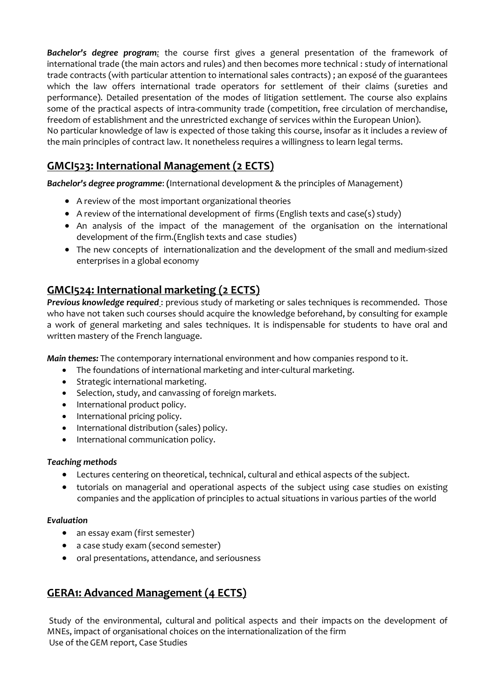*Bachelor's degree program:* the course first gives a general presentation of the framework of international trade (the main actors and rules) and then becomes more technical : study of international trade contracts (with particular attention to international sales contracts) ; an exposé of the guarantees which the law offers international trade operators for settlement of their claims (sureties and performance). Detailed presentation of the modes of litigation settlement. The course also explains some of the practical aspects of intra-community trade (competition, free circulation of merchandise, freedom of establishment and the unrestricted exchange of services within the European Union). No particular knowledge of law is expected of those taking this course, insofar as it includes a review of the main principles of contract law. It nonetheless requires a willingness to learn legal terms.

# **GMCI523: International Management (2 ECTS)**

*Bachelor's degree programme*: **(**International development & the principles of Management)

- A review of the most important organizational theories
- A review of the international development of firms (English texts and case(s) study)
- An analysis of the impact of the management of the organisation on the international development of the firm.(English texts and case studies)
- The new concepts of internationalization and the development of the small and medium-sized enterprises in a global economy

# **GMCI524: International marketing (2 ECTS)**

**Previous knowledge required**: previous study of marketing or sales techniques is recommended. Those who have not taken such courses should acquire the knowledge beforehand, by consulting for example a work of general marketing and sales techniques. It is indispensable for students to have oral and written mastery of the French language.

*Main themes:* The contemporary international environment and how companies respond to it.

- The foundations of international marketing and inter-cultural marketing.
- Strategic international marketing.
- Selection, study, and canvassing of foreign markets.
- International product policy.
- International pricing policy.
- International distribution (sales) policy.
- International communication policy.

#### *Teaching methods*

- Lectures centering on theoretical, technical, cultural and ethical aspects of the subject.
- tutorials on managerial and operational aspects of the subject using case studies on existing companies and the application of principles to actual situations in various parties of the world

#### *Evaluation*

- an essay exam (first semester)
- a case study exam (second semester)
- oral presentations, attendance, and seriousness

# **GERA1: Advanced Management (4 ECTS)**

Study of the environmental, cultural and political aspects and their impacts on the development of MNEs, impact of organisational choices on the internationalization of the firm Use of the GEM report, Case Studies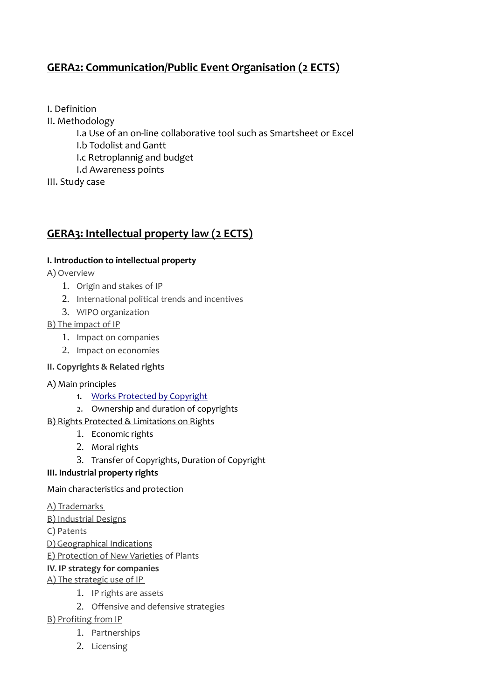# **GERA2: Communication/Public Event Organisation (2 ECTS)**

I. Definition

II. Methodology

- I.a Use of an on-line collaborative tool such as Smartsheet or Excel
- I.b Todolist and Gantt
- I.c Retroplannig and budget
- I.d Awareness points
- III. Study case

# **GERA3: Intellectual property law (2 ECTS)**

## **I. Introduction to intellectual property**

A) Overview

- 1. Origin and stakes of IP
- 2. International political trends and incentives
- 3. WIPO organization

## B) The impact of IP

- 1. Impact on companies
- 2. Impact on economies

## **II. Copyrights & Related rights**

## A) Main principles

- 1. [Works Protected by Copyright](http://www.wipo.int/freepublications/en/intproperty/909/wipo_pub_909.html#works)
- 2. Ownership and duration of copyrights

## B[\) Rights Protected](http://www.wipo.int/freepublications/en/intproperty/909/wipo_pub_909.html#rights) & [Limitations on Rights](http://www.wipo.int/freepublications/en/intproperty/909/wipo_pub_909.html#limitations)

- 1. Economic rights
- 2. Moral rights
- 3. Transfer of Copyrights, Duration of Copyright

## **III. Industrial property rights**

Main characteristics and protection

## A) Trademarks

B) Industrial Designs

C) Patents

- D) Geographical Indications
- E) Protection of New Varieties of Plants

## **IV. IP strategy for companies**

## A) The strategic use of IP

- 1. IP rights are assets
- 2. Offensive and defensive strategies

## B) Profiting from IP

- 1. Partnerships
- 2. Licensing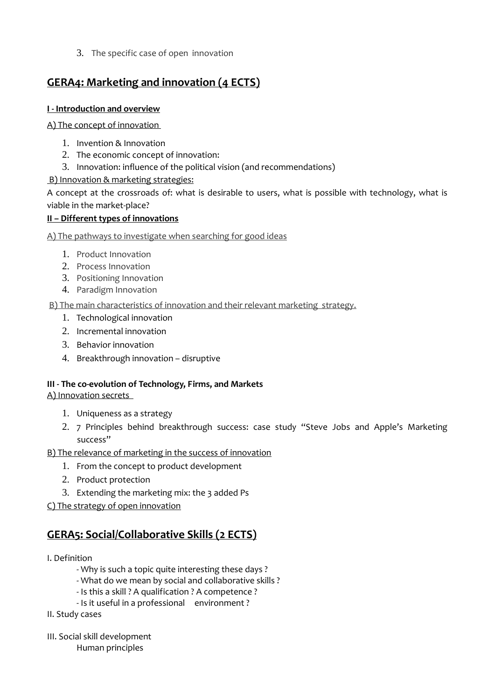3. The specific case of open innovation

# **GERA4: Marketing and innovation (4 ECTS)**

## **I - Introduction and overview**

A) The concept of innovation

- 1. Invention & Innovation
- 2. The economic concept of innovation:
- 3. Innovation: influence of the political vision (and recommendations)

## B) Innovation & marketing strategies:

A concept at the crossroads of: what is desirable to users, what is possible with technology, what is viable in the market-place?

## **II – Different types of innovations**

A) The pathways to investigate when searching for good ideas

- 1. Product Innovation
- 2. Process Innovation
- 3. Positioning Innovation
- 4. Paradigm Innovation

B) The main characteristics of innovation and their relevant marketing strategy.

- 1. Technological innovation
- 2. Incremental innovation
- 3. Behavior innovation
- 4. Breakthrough innovation disruptive

## **III - The co-evolution of Technology, Firms, and Markets**

## A) Innovation secrets

- 1. Uniqueness as a strategy
- 2. 7 Principles behind breakthrough success: case study "Steve Jobs and Apple's Marketing success"

B) The relevance of marketing in the success of innovation

- 1. From the concept to product development
- 2. Product protection
- 3. Extending the marketing mix: the 3 added Ps

C) The strategy of open innovation

# **GERA5: Social/Collaborative Skills (2 ECTS)**

## I. Definition

- Why is such a topic quite interesting these days ?
- What do we mean by social and collaborative skills ?
- Is this a skill ? A qualification ? A competence ?
- Is it useful in a professional environment ?
- II. Study cases
- III. Social skill development
	- Human principles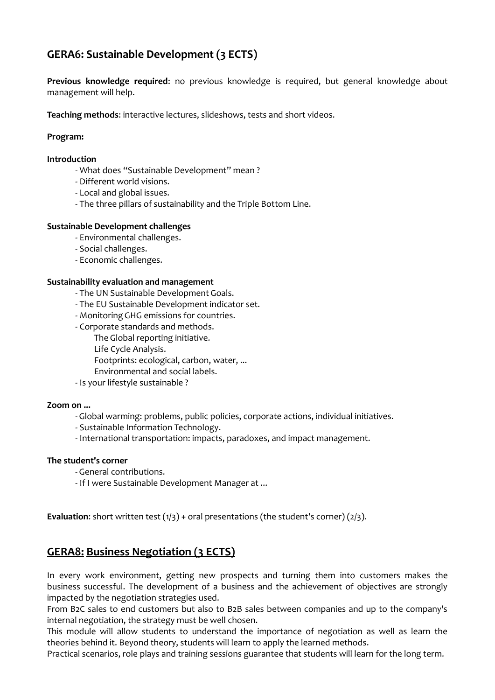# **GERA6: Sustainable Development (3 ECTS)**

**Previous knowledge required**: no previous knowledge is required, but general knowledge about management will help.

**Teaching methods**: interactive lectures, slideshows, tests and short videos.

#### **Program:**

#### **Introduction**

- What does "Sustainable Development" mean ?
- Different world visions.
- Local and global issues.
- The three pillars of sustainability and the Triple Bottom Line.

#### **Sustainable Development challenges**

- Environmental challenges.
- Social challenges.
- Economic challenges.

#### **Sustainability evaluation and management**

- The UN Sustainable Development Goals.
- The EU Sustainable Development indicator set.
- Monitoring GHG emissions for countries.
- Corporate standards and methods.
	- The Global reporting initiative.
	- Life Cycle Analysis.
	- Footprints: ecological, carbon, water, ...
	- Environmental and social labels.
- Is your lifestyle sustainable ?

#### **Zoom on ...**

- Global warming: problems, public policies, corporate actions, individual initiatives.
- Sustainable Information Technology.
- International transportation: impacts, paradoxes, and impact management.

#### **The student's corner**

- General contributions.
- If I were Sustainable Development Manager at ...

**Evaluation:** short written test (1/3) + oral presentations (the student's corner) (2/3).

# **GERA8: Business Negotiation (3 ECTS)**

In every work environment, getting new prospects and turning them into customers makes the business successful. The development of a business and the achievement of objectives are strongly impacted by the negotiation strategies used.

From B2C sales to end customers but also to B2B sales between companies and up to the company's internal negotiation, the strategy must be well chosen.

This module will allow students to understand the importance of negotiation as well as learn the theories behind it. Beyond theory, students will learn to apply the learned methods.

Practical scenarios, role plays and training sessions guarantee that students will learn for the long term.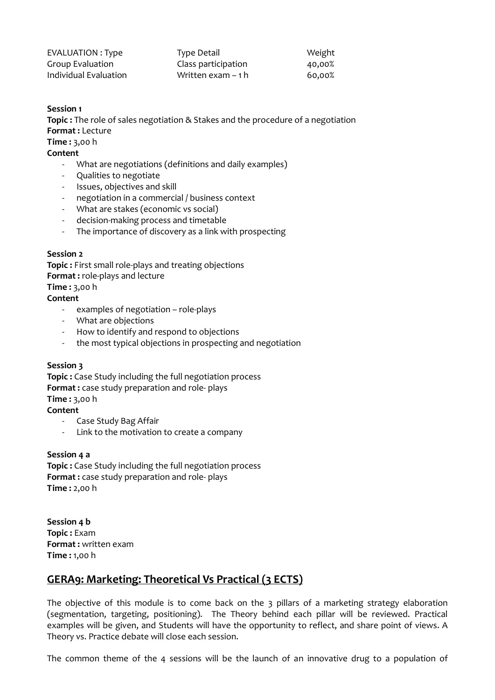| EVALUATION : Type     | Type Detail         | Weight |
|-----------------------|---------------------|--------|
| Group Evaluation      | Class participation | 40,00% |
| Individual Evaluation | Written exam – 1 h  | 60.00% |

#### **Session 1**

**Topic :** The role of sales negotiation & Stakes and the procedure of a negotiation **Format :** Lecture

**Time :** 3,00 h

#### **Content**

- What are negotiations (definitions and daily examples)
- Qualities to negotiate
- Issues, objectives and skill
- negotiation in a commercial / business context
- What are stakes (economic vs social)
- decision-making process and timetable
- The importance of discovery as a link with prospecting

#### **Session 2**

**Topic :** First small role-plays and treating objections **Format :** role-plays and lecture **Time :** 3,00 h

#### **Content**

- examples of negotiation role-plays
- What are objections
- How to identify and respond to objections
- the most typical objections in prospecting and negotiation

#### **Session 3**

**Topic :** Case Study including the full negotiation process **Format :** case study preparation and role- plays **Time :** 3,00 h **Content** 

- Case Study Bag Affair
- Link to the motivation to create a company

#### **Session 4 a**

**Topic :** Case Study including the full negotiation process **Format :** case study preparation and role- plays **Time :** 2,00 h

**Session 4 b Topic :** Exam **Format :** written exam **Time :** 1,00 h

# **GERA9: Marketing: Theoretical Vs Practical (3 ECTS)**

The objective of this module is to come back on the 3 pillars of a marketing strategy elaboration (segmentation, targeting, positioning). The Theory behind each pillar will be reviewed. Practical examples will be given, and Students will have the opportunity to reflect, and share point of views. A Theory vs. Practice debate will close each session.

The common theme of the 4 sessions will be the launch of an innovative drug to a population of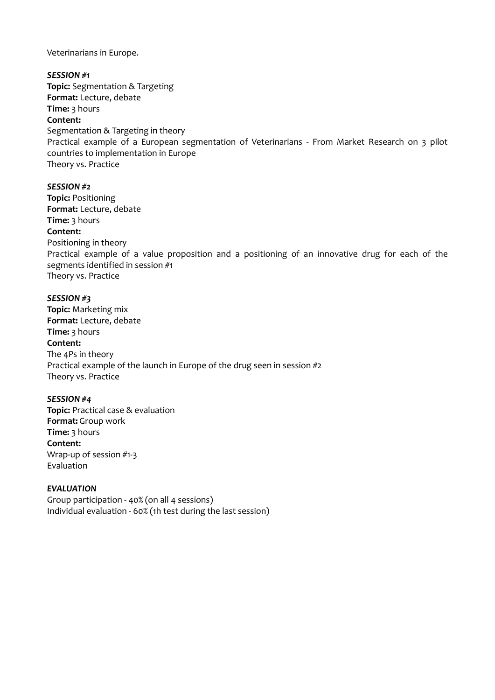Veterinarians in Europe.

*SESSION #1* **Topic:** Segmentation & Targeting **Format:** Lecture, debate **Time:** 3 hours **Content:** Segmentation & Targeting in theory Practical example of a European segmentation of Veterinarians - From Market Research on 3 pilot countries to implementation in Europe Theory vs. Practice

#### *SESSION #2*

**Topic:** Positioning **Format:** Lecture, debate **Time:** 3 hours **Content:**  Positioning in theory Practical example of a value proposition and a positioning of an innovative drug for each of the segments identified in session #1 Theory vs. Practice

#### *SESSION #3*

**Topic:** Marketing mix **Format:** Lecture, debate **Time:** 3 hours **Content:** The 4Ps in theory Practical example of the launch in Europe of the drug seen in session #2 Theory vs. Practice

#### *SESSION #4*

**Topic:** Practical case & evaluation **Format:** Group work **Time:** 3 hours **Content:** Wrap-up of session #1-3 Evaluation

#### *EVALUATION*

Group participation - 40% (on all 4 sessions) Individual evaluation - 60% (1h test during the last session)